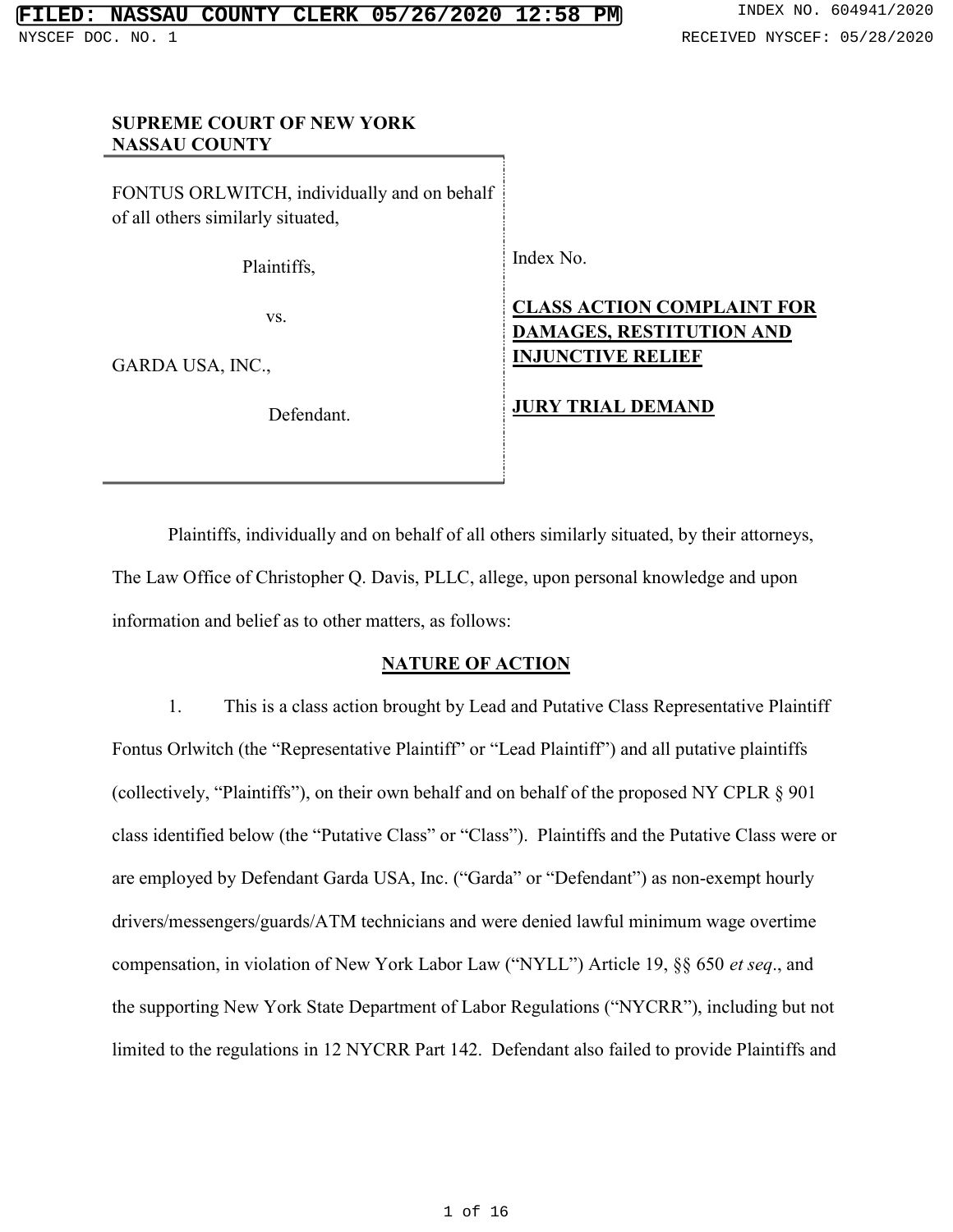#### SUPREME COURT OF NEW YORK NASSAU COUNTY

FONTUS ORLWITCH, individually and on behalf of all others similarly situated,

Plaintiffs,

vs.

GARDA USA, INC.,

Defendant.

### Index No.

# CLASS ACTION COMPLAINT FOR DAMAGES, RESTITUTION AND INJUNCTIVE RELIEF

### JURY TRIAL DEMAND

Plaintiffs, individually and on behalf of all others similarly situated, by their attorneys, The Law Office of Christopher Q. Davis, PLLC, allege, upon personal knowledge and upon information and belief as to other matters, as follows:

### NATURE OF ACTION

1. This is a class action brought by Lead and Putative Class Representative Plaintiff Fontus Orlwitch (the "Representative Plaintiff" or "Lead Plaintiff") and all putative plaintiffs (collectively, "Plaintiffs"), on their own behalf and on behalf of the proposed NY CPLR § 901 class identified below (the "Putative Class" or "Class"). Plaintiffs and the Putative Class were or are employed by Defendant Garda USA, Inc. ("Garda" or "Defendant") as non-exempt hourly drivers/messengers/guards/ATM technicians and were denied lawful minimum wage overtime compensation, in violation of New York Labor Law ("NYLL") Article 19, §§ 650 et seq., and the supporting New York State Department of Labor Regulations ("NYCRR"), including but not limited to the regulations in 12 NYCRR Part 142. Defendant also failed to provide Plaintiffs and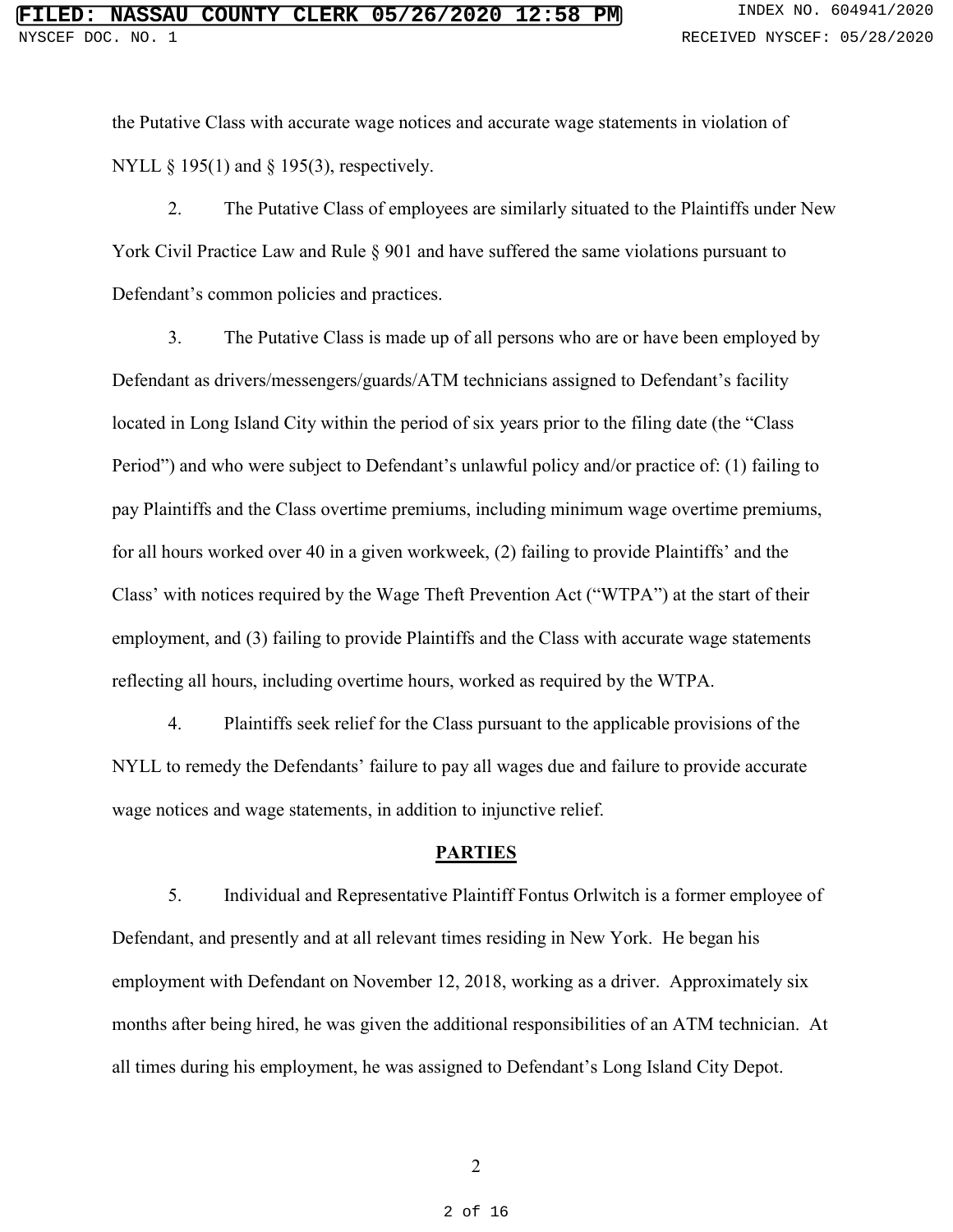the Putative Class with accurate wage notices and accurate wage statements in violation of NYLL § 195(1) and § 195(3), respectively.

2. The Putative Class of employees are similarly situated to the Plaintiffs under New York Civil Practice Law and Rule § 901 and have suffered the same violations pursuant to Defendant's common policies and practices.

3. The Putative Class is made up of all persons who are or have been employed by Defendant as drivers/messengers/guards/ATM technicians assigned to Defendant's facility located in Long Island City within the period of six years prior to the filing date (the "Class Period") and who were subject to Defendant's unlawful policy and/or practice of: (1) failing to pay Plaintiffs and the Class overtime premiums, including minimum wage overtime premiums, for all hours worked over 40 in a given workweek, (2) failing to provide Plaintiffs' and the Class' with notices required by the Wage Theft Prevention Act ("WTPA") at the start of their employment, and (3) failing to provide Plaintiffs and the Class with accurate wage statements reflecting all hours, including overtime hours, worked as required by the WTPA.

4. Plaintiffs seek relief for the Class pursuant to the applicable provisions of the NYLL to remedy the Defendants' failure to pay all wages due and failure to provide accurate wage notices and wage statements, in addition to injunctive relief.

#### **PARTIES**

5. Individual and Representative Plaintiff Fontus Orlwitch is a former employee of Defendant, and presently and at all relevant times residing in New York. He began his employment with Defendant on November 12, 2018, working as a driver. Approximately six months after being hired, he was given the additional responsibilities of an ATM technician. At all times during his employment, he was assigned to Defendant's Long Island City Depot.

2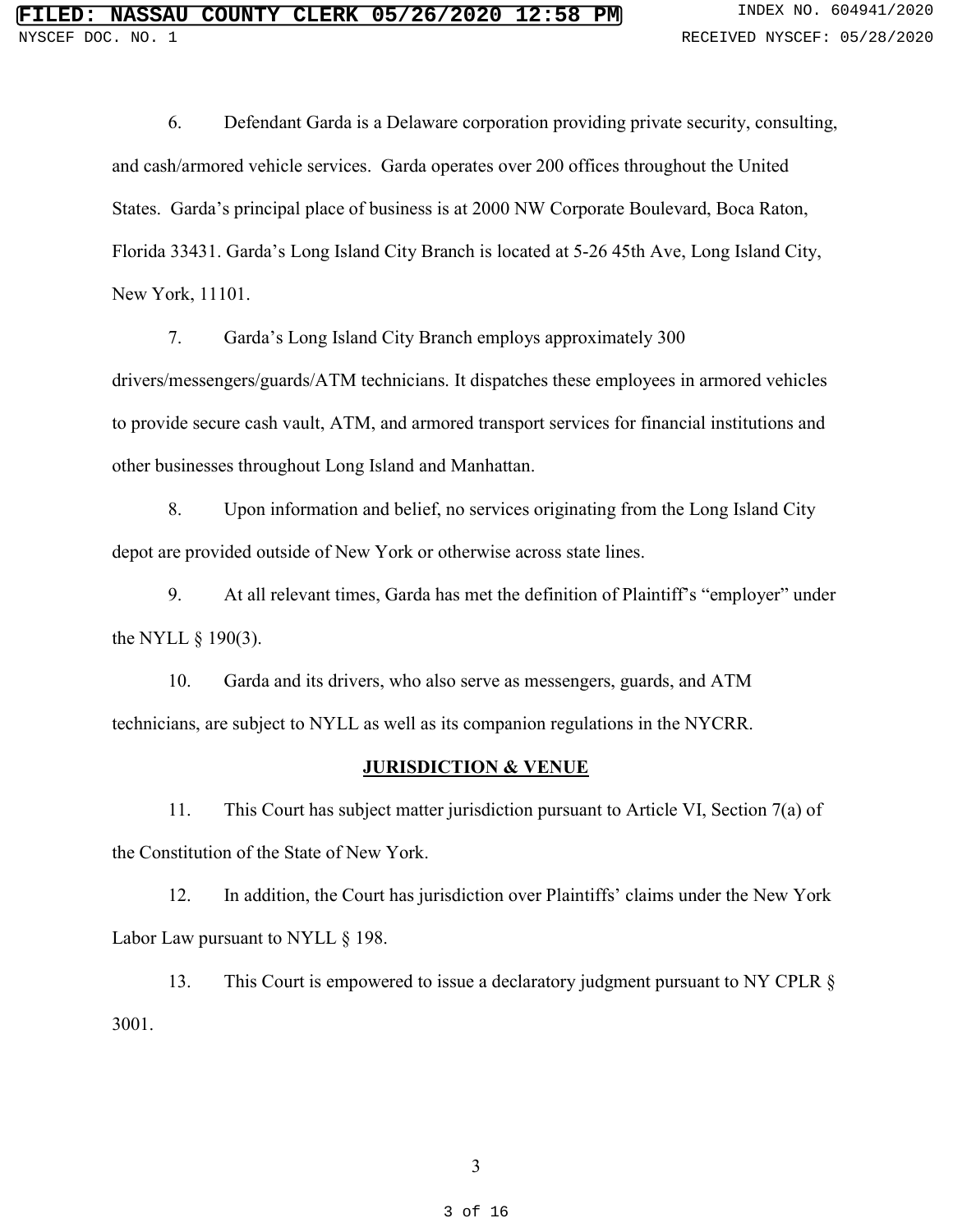6. Defendant Garda is a Delaware corporation providing private security, consulting, and cash/armored vehicle services. Garda operates over 200 offices throughout the United States. Garda's principal place of business is at 2000 NW Corporate Boulevard, Boca Raton, Florida 33431. Garda's Long Island City Branch is located at 5-26 45th Ave, Long Island City, New York, 11101.

7. Garda's Long Island City Branch employs approximately 300

drivers/messengers/guards/ATM technicians. It dispatches these employees in armored vehicles to provide secure cash vault, ATM, and armored transport services for financial institutions and other businesses throughout Long Island and Manhattan.

8. Upon information and belief, no services originating from the Long Island City depot are provided outside of New York or otherwise across state lines.

9. At all relevant times, Garda has met the definition of Plaintiff's "employer" under the NYLL § 190(3).

10. Garda and its drivers, who also serve as messengers, guards, and ATM technicians, are subject to NYLL as well as its companion regulations in the NYCRR.

#### **JURISDICTION & VENUE**

11. This Court has subject matter jurisdiction pursuant to Article VI, Section 7(a) of the Constitution of the State of New York.

12. In addition, the Court has jurisdiction over Plaintiffs' claims under the New York Labor Law pursuant to NYLL § 198.

13. This Court is empowered to issue a declaratory judgment pursuant to NY CPLR § 3001.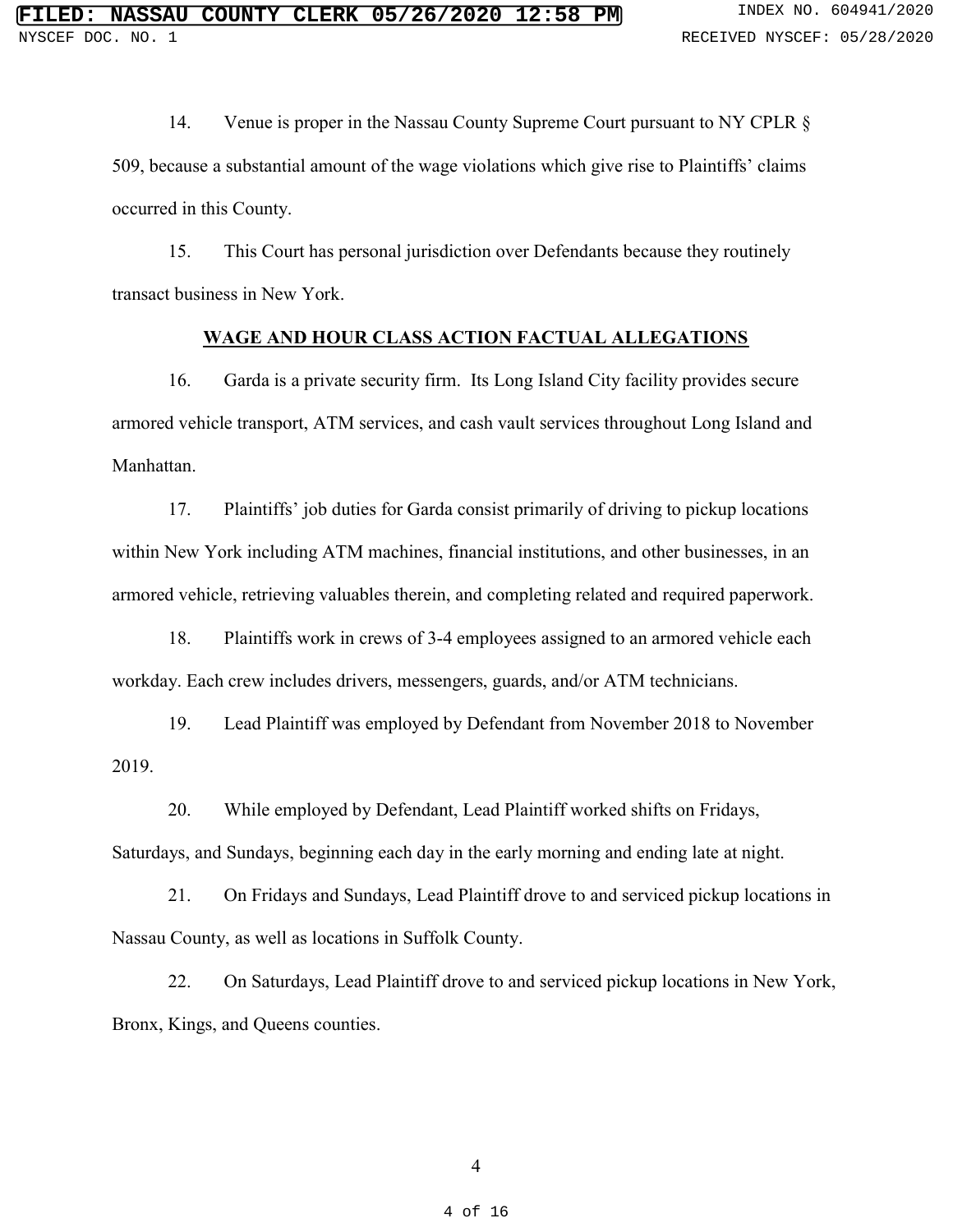14. Venue is proper in the Nassau County Supreme Court pursuant to NY CPLR § 509, because a substantial amount of the wage violations which give rise to Plaintiffs' claims occurred in this County.

15. This Court has personal jurisdiction over Defendants because they routinely transact business in New York.

#### WAGE AND HOUR CLASS ACTION FACTUAL ALLEGATIONS

16. Garda is a private security firm. Its Long Island City facility provides secure armored vehicle transport, ATM services, and cash vault services throughout Long Island and Manhattan.

17. Plaintiffs' job duties for Garda consist primarily of driving to pickup locations within New York including ATM machines, financial institutions, and other businesses, in an armored vehicle, retrieving valuables therein, and completing related and required paperwork.

18. Plaintiffs work in crews of 3-4 employees assigned to an armored vehicle each workday. Each crew includes drivers, messengers, guards, and/or ATM technicians.

19. Lead Plaintiff was employed by Defendant from November 2018 to November 2019.

20. While employed by Defendant, Lead Plaintiff worked shifts on Fridays,

Saturdays, and Sundays, beginning each day in the early morning and ending late at night.

21. On Fridays and Sundays, Lead Plaintiff drove to and serviced pickup locations in Nassau County, as well as locations in Suffolk County.

22. On Saturdays, Lead Plaintiff drove to and serviced pickup locations in New York, Bronx, Kings, and Queens counties.

4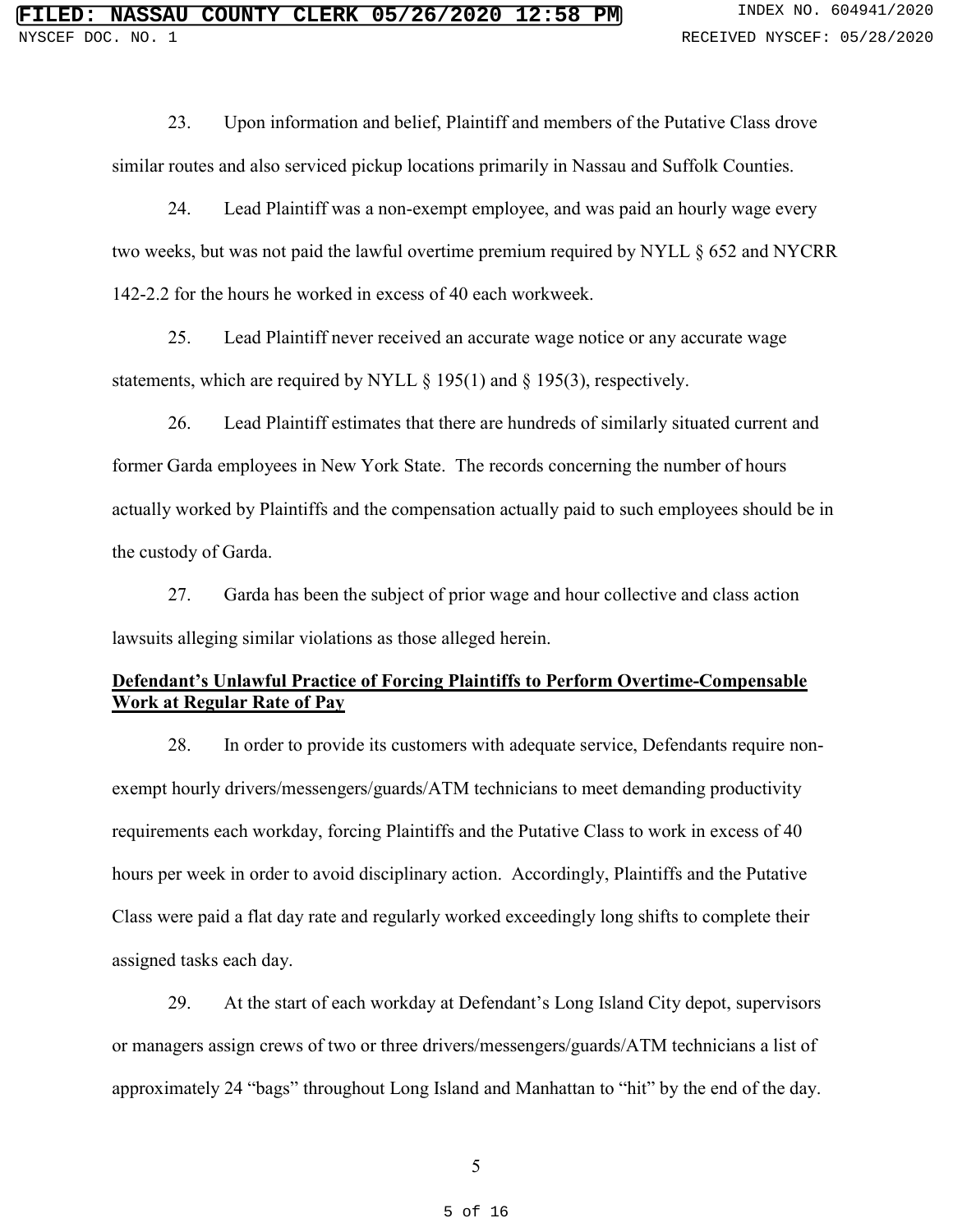23. Upon information and belief, Plaintiff and members of the Putative Class drove similar routes and also serviced pickup locations primarily in Nassau and Suffolk Counties.

24. Lead Plaintiff was a non-exempt employee, and was paid an hourly wage every two weeks, but was not paid the lawful overtime premium required by NYLL § 652 and NYCRR 142-2.2 for the hours he worked in excess of 40 each workweek.

25. Lead Plaintiff never received an accurate wage notice or any accurate wage statements, which are required by NYLL  $\S$  195(1) and  $\S$  195(3), respectively.

26. Lead Plaintiff estimates that there are hundreds of similarly situated current and former Garda employees in New York State. The records concerning the number of hours actually worked by Plaintiffs and the compensation actually paid to such employees should be in the custody of Garda.

27. Garda has been the subject of prior wage and hour collective and class action lawsuits alleging similar violations as those alleged herein.

## Defendant's Unlawful Practice of Forcing Plaintiffs to Perform Overtime-Compensable Work at Regular Rate of Pay

28. In order to provide its customers with adequate service, Defendants require nonexempt hourly drivers/messengers/guards/ATM technicians to meet demanding productivity requirements each workday, forcing Plaintiffs and the Putative Class to work in excess of 40 hours per week in order to avoid disciplinary action. Accordingly, Plaintiffs and the Putative Class were paid a flat day rate and regularly worked exceedingly long shifts to complete their assigned tasks each day.

29. At the start of each workday at Defendant's Long Island City depot, supervisors or managers assign crews of two or three drivers/messengers/guards/ATM technicians a list of approximately 24 "bags" throughout Long Island and Manhattan to "hit" by the end of the day.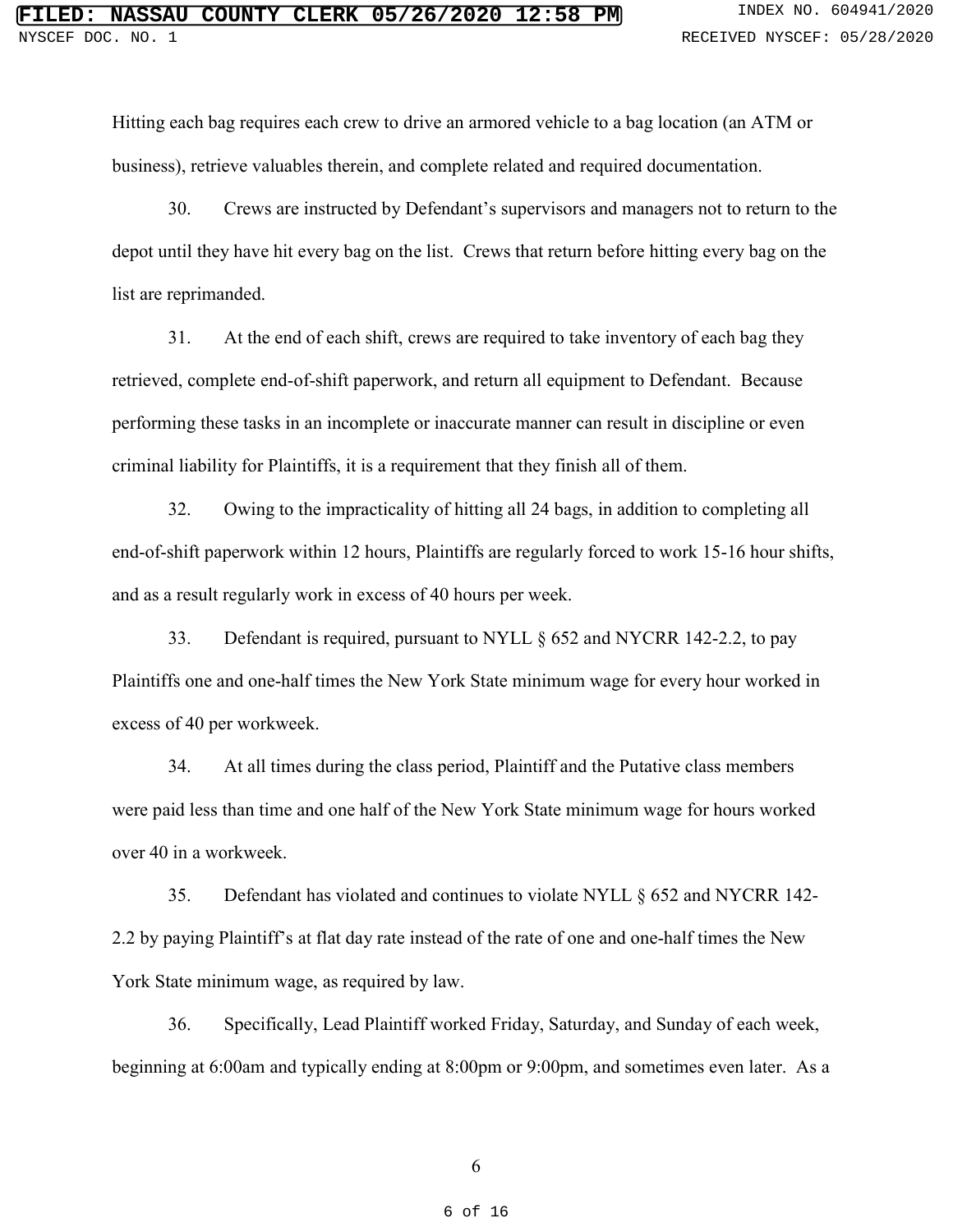Hitting each bag requires each crew to drive an armored vehicle to a bag location (an ATM or business), retrieve valuables therein, and complete related and required documentation.

30. Crews are instructed by Defendant's supervisors and managers not to return to the depot until they have hit every bag on the list. Crews that return before hitting every bag on the list are reprimanded.

31. At the end of each shift, crews are required to take inventory of each bag they retrieved, complete end-of-shift paperwork, and return all equipment to Defendant. Because performing these tasks in an incomplete or inaccurate manner can result in discipline or even criminal liability for Plaintiffs, it is a requirement that they finish all of them.

32. Owing to the impracticality of hitting all 24 bags, in addition to completing all end-of-shift paperwork within 12 hours, Plaintiffs are regularly forced to work 15-16 hour shifts, and as a result regularly work in excess of 40 hours per week.

33. Defendant is required, pursuant to NYLL § 652 and NYCRR 142-2.2, to pay Plaintiffs one and one-half times the New York State minimum wage for every hour worked in excess of 40 per workweek.

34. At all times during the class period, Plaintiff and the Putative class members were paid less than time and one half of the New York State minimum wage for hours worked over 40 in a workweek.

35. Defendant has violated and continues to violate NYLL § 652 and NYCRR 142- 2.2 by paying Plaintiff's at flat day rate instead of the rate of one and one-half times the New York State minimum wage, as required by law.

36. Specifically, Lead Plaintiff worked Friday, Saturday, and Sunday of each week, beginning at 6:00am and typically ending at 8:00pm or 9:00pm, and sometimes even later. As a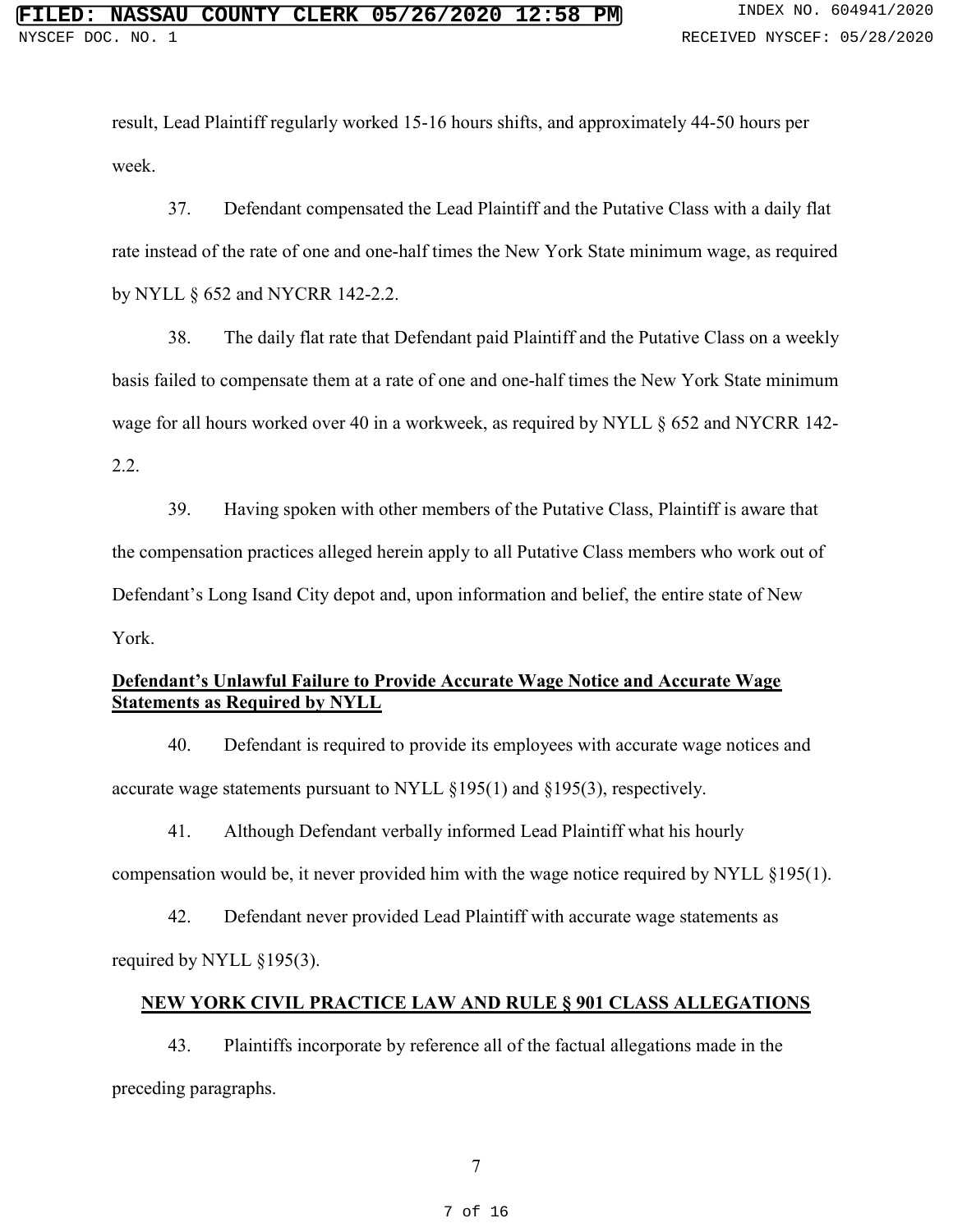result, Lead Plaintiff regularly worked 15-16 hours shifts, and approximately 44-50 hours per week.

37. Defendant compensated the Lead Plaintiff and the Putative Class with a daily flat rate instead of the rate of one and one-half times the New York State minimum wage, as required by NYLL § 652 and NYCRR 142-2.2.

38. The daily flat rate that Defendant paid Plaintiff and the Putative Class on a weekly basis failed to compensate them at a rate of one and one-half times the New York State minimum wage for all hours worked over 40 in a workweek, as required by NYLL § 652 and NYCRR 142- 2.2.

39. Having spoken with other members of the Putative Class, Plaintiff is aware that the compensation practices alleged herein apply to all Putative Class members who work out of Defendant's Long Isand City depot and, upon information and belief, the entire state of New York.

## Defendant's Unlawful Failure to Provide Accurate Wage Notice and Accurate Wage Statements as Required by NYLL

40. Defendant is required to provide its employees with accurate wage notices and accurate wage statements pursuant to NYLL  $\S 195(1)$  and  $\S 195(3)$ , respectively.

41. Although Defendant verbally informed Lead Plaintiff what his hourly compensation would be, it never provided him with the wage notice required by NYLL §195(1).

42. Defendant never provided Lead Plaintiff with accurate wage statements as required by NYLL §195(3).

### NEW YORK CIVIL PRACTICE LAW AND RULE § 901 CLASS ALLEGATIONS

43. Plaintiffs incorporate by reference all of the factual allegations made in the preceding paragraphs.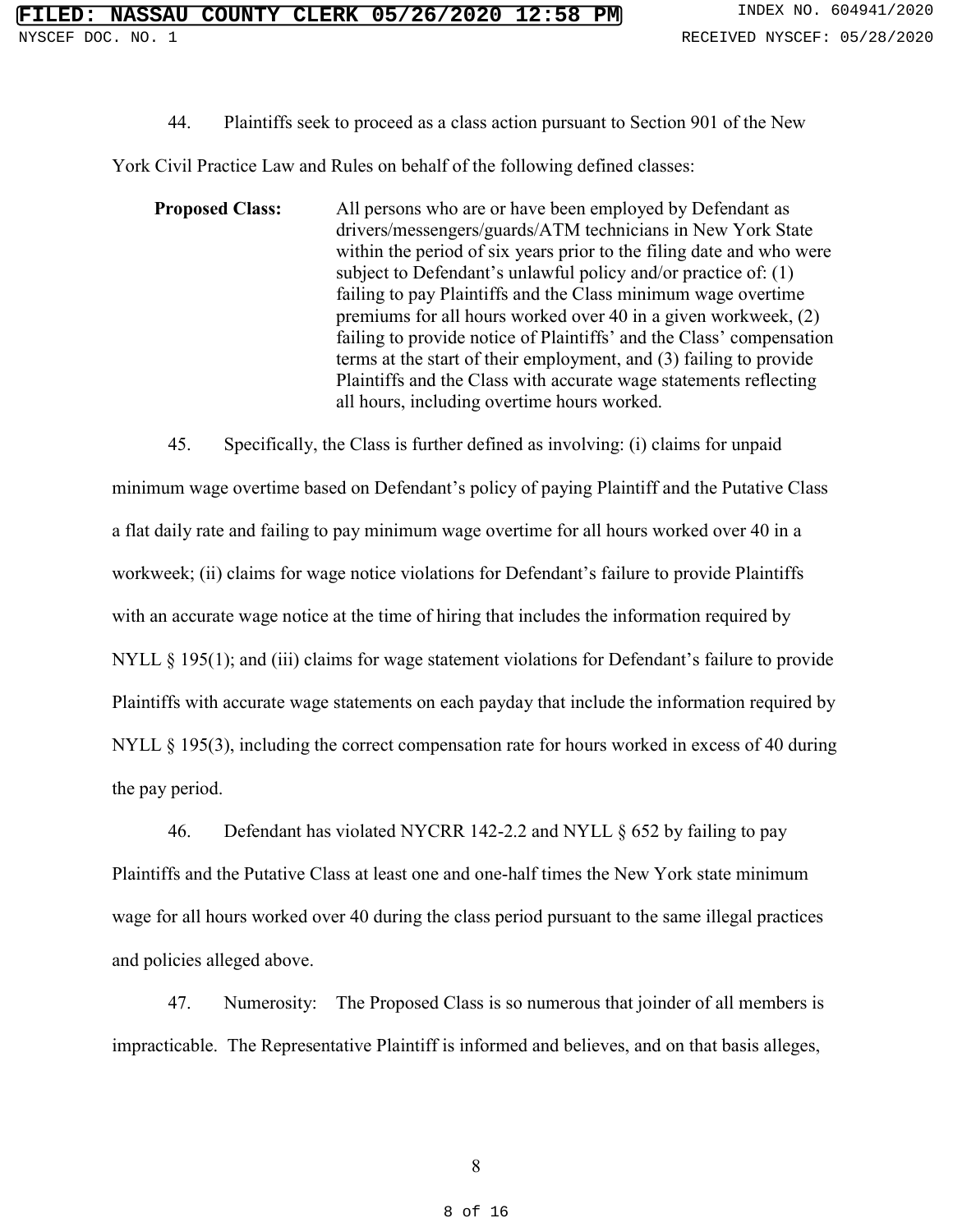44. Plaintiffs seek to proceed as a class action pursuant to Section 901 of the New

York Civil Practice Law and Rules on behalf of the following defined classes:

**Proposed Class:** All persons who are or have been employed by Defendant as drivers/messengers/guards/ATM technicians in New York State within the period of six years prior to the filing date and who were subject to Defendant's unlawful policy and/or practice of: (1) failing to pay Plaintiffs and the Class minimum wage overtime premiums for all hours worked over 40 in a given workweek, (2) failing to provide notice of Plaintiffs' and the Class' compensation terms at the start of their employment, and (3) failing to provide Plaintiffs and the Class with accurate wage statements reflecting all hours, including overtime hours worked.

45. Specifically, the Class is further defined as involving: (i) claims for unpaid minimum wage overtime based on Defendant's policy of paying Plaintiff and the Putative Class a flat daily rate and failing to pay minimum wage overtime for all hours worked over 40 in a workweek; (ii) claims for wage notice violations for Defendant's failure to provide Plaintiffs with an accurate wage notice at the time of hiring that includes the information required by NYLL § 195(1); and (iii) claims for wage statement violations for Defendant's failure to provide Plaintiffs with accurate wage statements on each payday that include the information required by NYLL § 195(3), including the correct compensation rate for hours worked in excess of 40 during the pay period.

46. Defendant has violated NYCRR 142-2.2 and NYLL § 652 by failing to pay Plaintiffs and the Putative Class at least one and one-half times the New York state minimum wage for all hours worked over 40 during the class period pursuant to the same illegal practices and policies alleged above.

47. Numerosity: The Proposed Class is so numerous that joinder of all members is impracticable. The Representative Plaintiff is informed and believes, and on that basis alleges,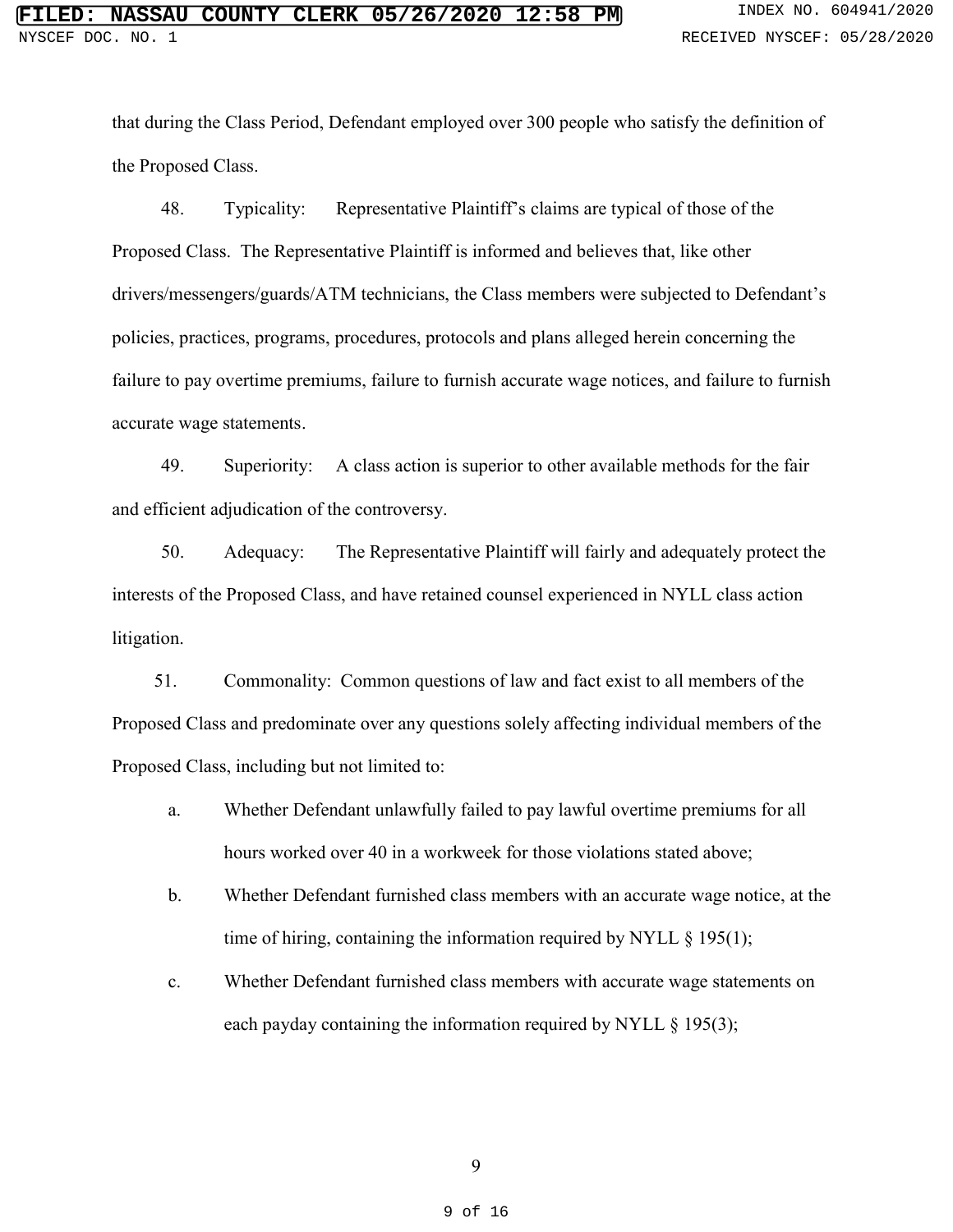that during the Class Period, Defendant employed over 300 people who satisfy the definition of the Proposed Class.

48. Typicality: Representative Plaintiff's claims are typical of those of the Proposed Class. The Representative Plaintiff is informed and believes that, like other drivers/messengers/guards/ATM technicians, the Class members were subjected to Defendant's policies, practices, programs, procedures, protocols and plans alleged herein concerning the failure to pay overtime premiums, failure to furnish accurate wage notices, and failure to furnish accurate wage statements.

49. Superiority: A class action is superior to other available methods for the fair and efficient adjudication of the controversy.

50. Adequacy: The Representative Plaintiff will fairly and adequately protect the interests of the Proposed Class, and have retained counsel experienced in NYLL class action litigation.

51. Commonality: Common questions of law and fact exist to all members of the Proposed Class and predominate over any questions solely affecting individual members of the Proposed Class, including but not limited to:

- a. Whether Defendant unlawfully failed to pay lawful overtime premiums for all hours worked over 40 in a workweek for those violations stated above;
- b. Whether Defendant furnished class members with an accurate wage notice, at the time of hiring, containing the information required by NYLL § 195(1);
- c. Whether Defendant furnished class members with accurate wage statements on each payday containing the information required by NYLL § 195(3);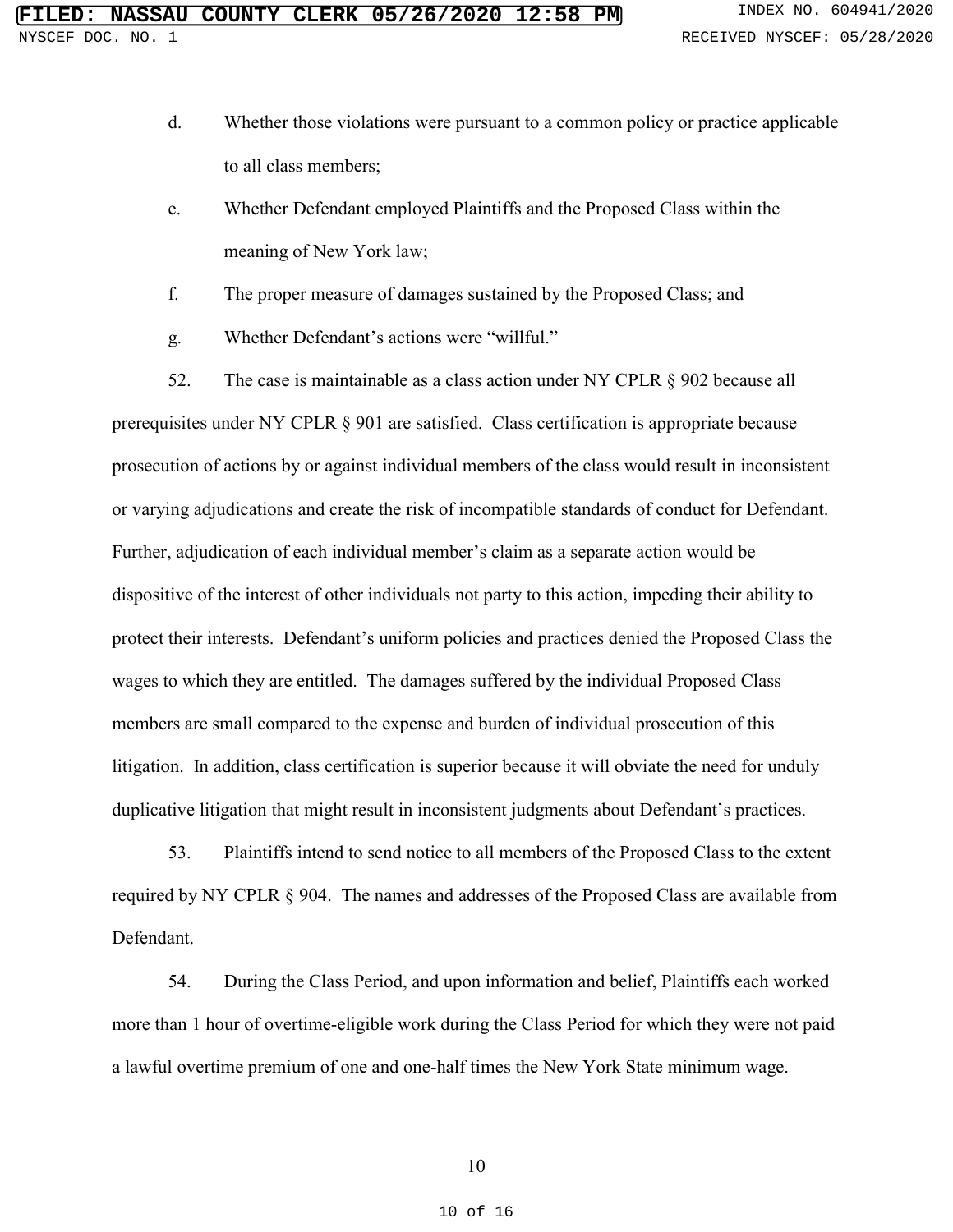- d. Whether those violations were pursuant to a common policy or practice applicable to all class members;
- e. Whether Defendant employed Plaintiffs and the Proposed Class within the meaning of New York law;
- f. The proper measure of damages sustained by the Proposed Class; and
- g. Whether Defendant's actions were "willful."

52. The case is maintainable as a class action under NY CPLR § 902 because all prerequisites under NY CPLR § 901 are satisfied. Class certification is appropriate because prosecution of actions by or against individual members of the class would result in inconsistent or varying adjudications and create the risk of incompatible standards of conduct for Defendant. Further, adjudication of each individual member's claim as a separate action would be dispositive of the interest of other individuals not party to this action, impeding their ability to protect their interests. Defendant's uniform policies and practices denied the Proposed Class the wages to which they are entitled. The damages suffered by the individual Proposed Class members are small compared to the expense and burden of individual prosecution of this litigation. In addition, class certification is superior because it will obviate the need for unduly duplicative litigation that might result in inconsistent judgments about Defendant's practices.

53. Plaintiffs intend to send notice to all members of the Proposed Class to the extent required by NY CPLR § 904. The names and addresses of the Proposed Class are available from Defendant.

54. During the Class Period, and upon information and belief, Plaintiffs each worked more than 1 hour of overtime-eligible work during the Class Period for which they were not paid a lawful overtime premium of one and one-half times the New York State minimum wage.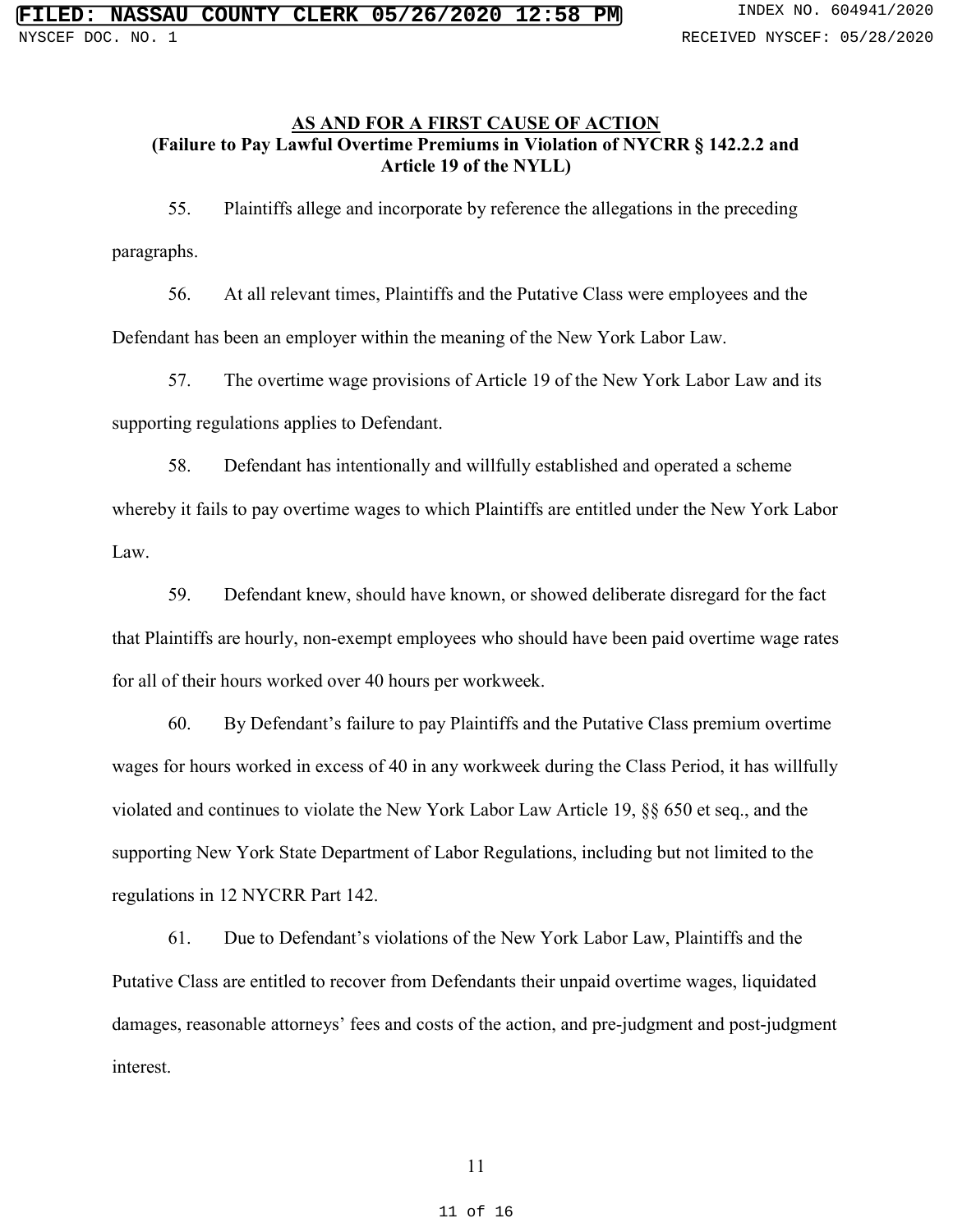### AS AND FOR A FIRST CAUSE OF ACTION (Failure to Pay Lawful Overtime Premiums in Violation of NYCRR § 142.2.2 and Article 19 of the NYLL)

55. Plaintiffs allege and incorporate by reference the allegations in the preceding paragraphs.

56. At all relevant times, Plaintiffs and the Putative Class were employees and the Defendant has been an employer within the meaning of the New York Labor Law.

57. The overtime wage provisions of Article 19 of the New York Labor Law and its supporting regulations applies to Defendant.

58. Defendant has intentionally and willfully established and operated a scheme whereby it fails to pay overtime wages to which Plaintiffs are entitled under the New York Labor Law.

59. Defendant knew, should have known, or showed deliberate disregard for the fact that Plaintiffs are hourly, non-exempt employees who should have been paid overtime wage rates for all of their hours worked over 40 hours per workweek.

60. By Defendant's failure to pay Plaintiffs and the Putative Class premium overtime wages for hours worked in excess of 40 in any workweek during the Class Period, it has willfully violated and continues to violate the New York Labor Law Article 19, §§ 650 et seq., and the supporting New York State Department of Labor Regulations, including but not limited to the regulations in 12 NYCRR Part 142.

61. Due to Defendant's violations of the New York Labor Law, Plaintiffs and the Putative Class are entitled to recover from Defendants their unpaid overtime wages, liquidated damages, reasonable attorneys' fees and costs of the action, and pre-judgment and post-judgment interest.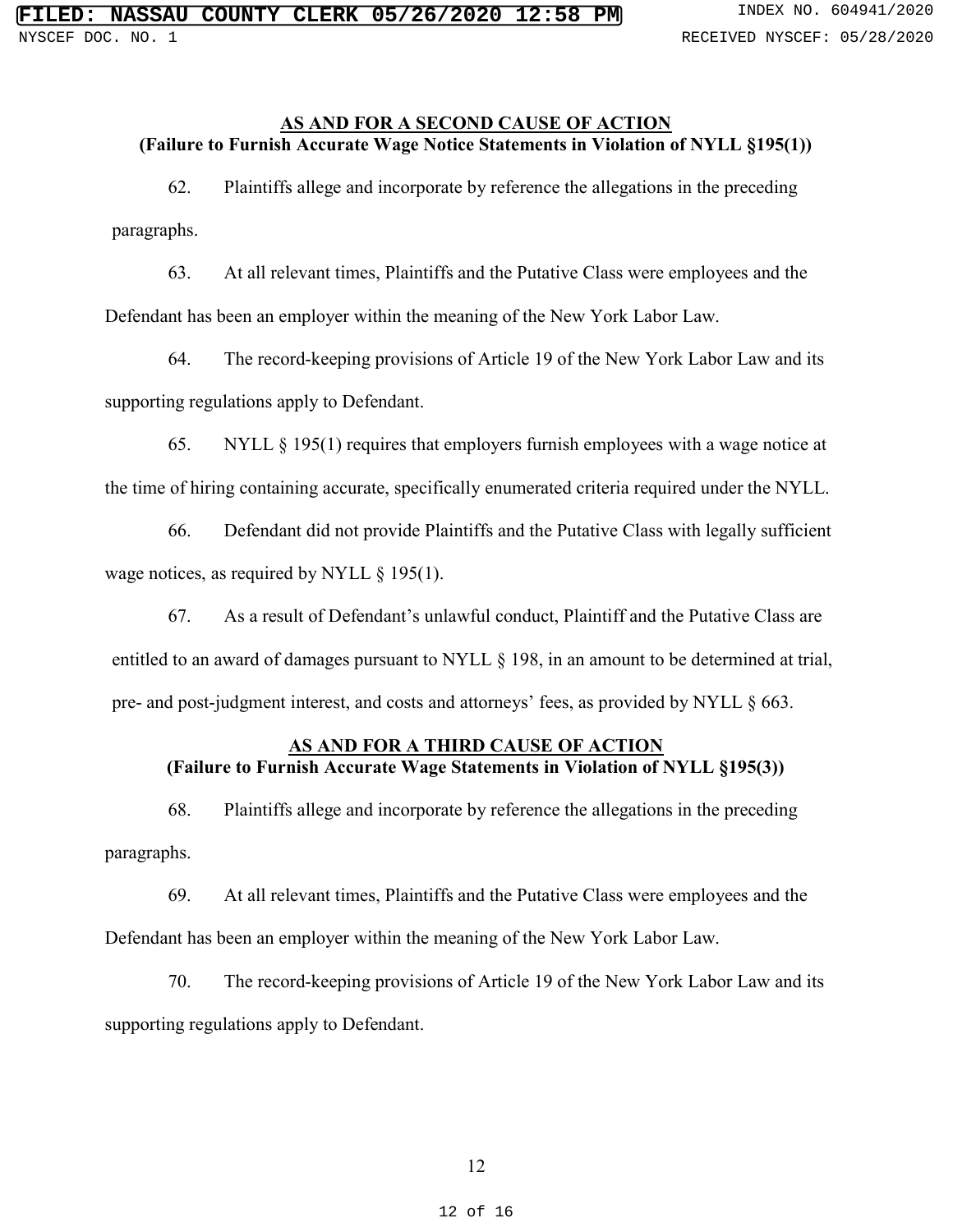### AS AND FOR A SECOND CAUSE OF ACTION (Failure to Furnish Accurate Wage Notice Statements in Violation of NYLL §195(1))

62. Plaintiffs allege and incorporate by reference the allegations in the preceding paragraphs.

63. At all relevant times, Plaintiffs and the Putative Class were employees and the Defendant has been an employer within the meaning of the New York Labor Law.

64. The record-keeping provisions of Article 19 of the New York Labor Law and its supporting regulations apply to Defendant.

65. NYLL § 195(1) requires that employers furnish employees with a wage notice at the time of hiring containing accurate, specifically enumerated criteria required under the NYLL.

66. Defendant did not provide Plaintiffs and the Putative Class with legally sufficient wage notices, as required by NYLL  $\S$  195(1).

67. As a result of Defendant's unlawful conduct, Plaintiff and the Putative Class are entitled to an award of damages pursuant to NYLL § 198, in an amount to be determined at trial, pre- and post-judgment interest, and costs and attorneys' fees, as provided by NYLL § 663.

# AS AND FOR A THIRD CAUSE OF ACTION (Failure to Furnish Accurate Wage Statements in Violation of NYLL §195(3))

68. Plaintiffs allege and incorporate by reference the allegations in the preceding paragraphs.

69. At all relevant times, Plaintiffs and the Putative Class were employees and the Defendant has been an employer within the meaning of the New York Labor Law.

70. The record-keeping provisions of Article 19 of the New York Labor Law and its supporting regulations apply to Defendant.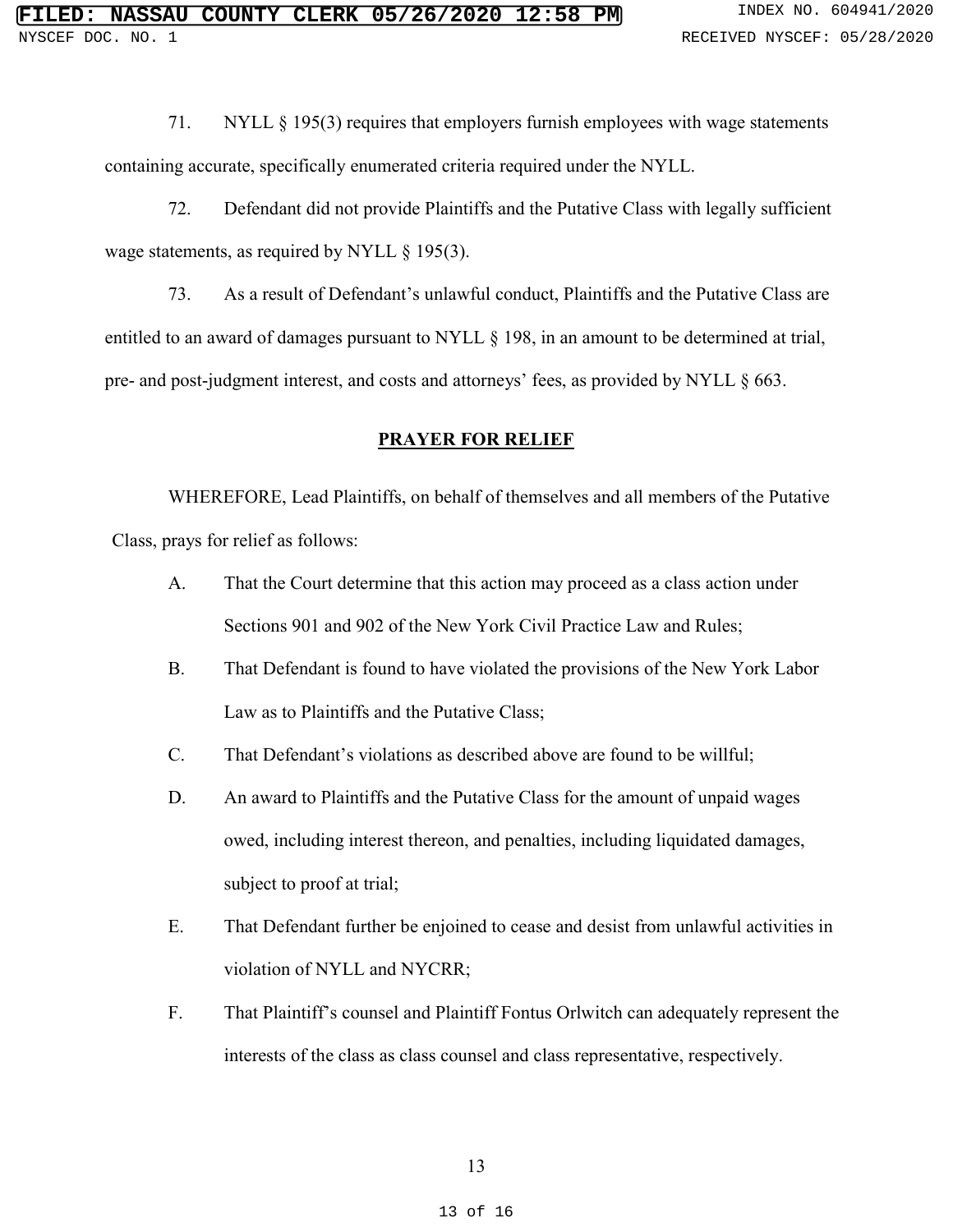71. NYLL § 195(3) requires that employers furnish employees with wage statements containing accurate, specifically enumerated criteria required under the NYLL.

72. Defendant did not provide Plaintiffs and the Putative Class with legally sufficient wage statements, as required by NYLL § 195(3).

73. As a result of Defendant's unlawful conduct, Plaintiffs and the Putative Class are entitled to an award of damages pursuant to NYLL § 198, in an amount to be determined at trial, pre- and post-judgment interest, and costs and attorneys' fees, as provided by NYLL § 663.

#### PRAYER FOR RELIEF

WHEREFORE, Lead Plaintiffs, on behalf of themselves and all members of the Putative Class, prays for relief as follows:

- A. That the Court determine that this action may proceed as a class action under Sections 901 and 902 of the New York Civil Practice Law and Rules;
- B. That Defendant is found to have violated the provisions of the New York Labor Law as to Plaintiffs and the Putative Class;
- C. That Defendant's violations as described above are found to be willful;
- D. An award to Plaintiffs and the Putative Class for the amount of unpaid wages owed, including interest thereon, and penalties, including liquidated damages, subject to proof at trial;
- E. That Defendant further be enjoined to cease and desist from unlawful activities in violation of NYLL and NYCRR;
- F. That Plaintiff's counsel and Plaintiff Fontus Orlwitch can adequately represent the interests of the class as class counsel and class representative, respectively.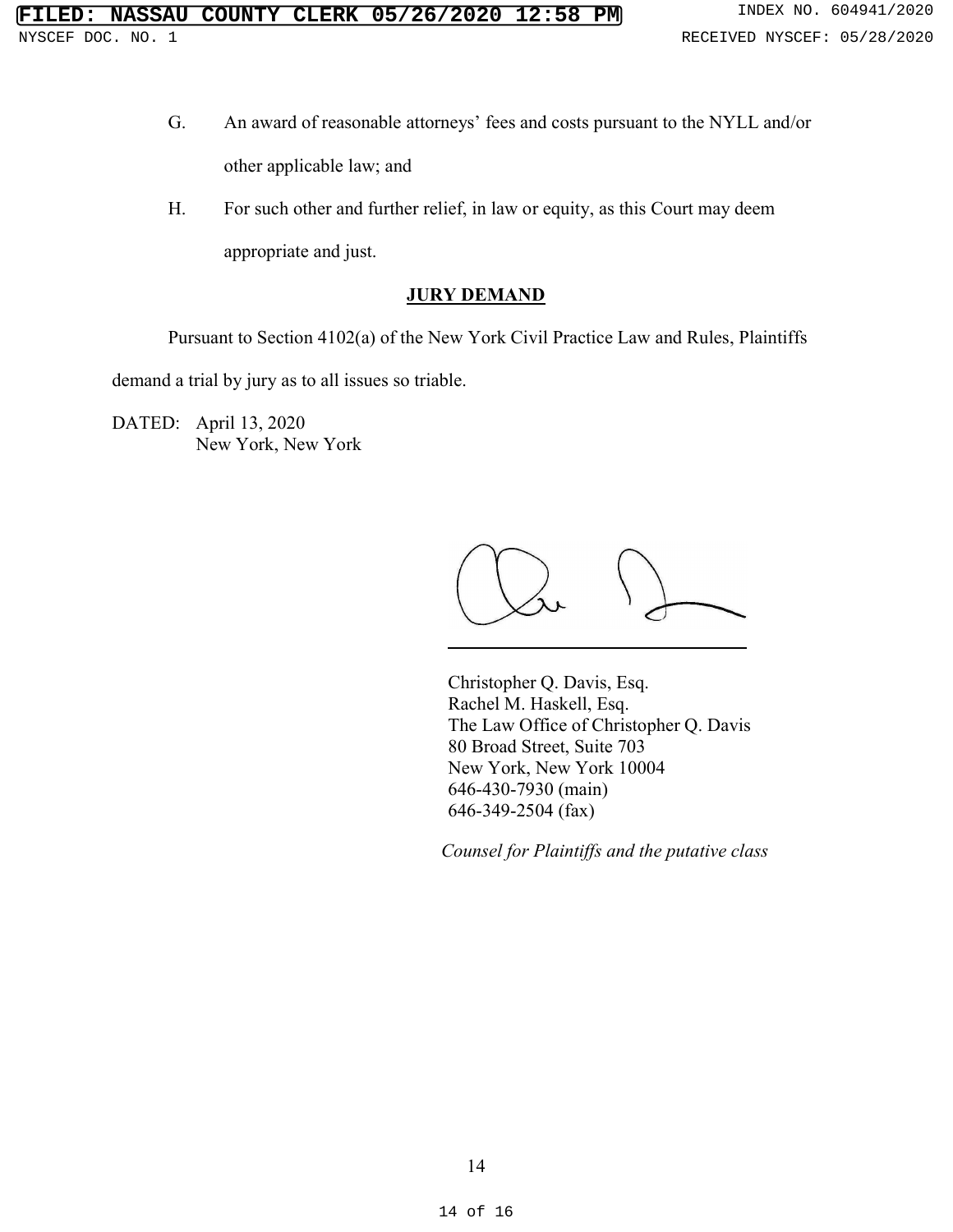- G. An award of reasonable attorneys' fees and costs pursuant to the NYLL and/or other applicable law; and
- H. For such other and further relief, in law or equity, as this Court may deem appropriate and just.

# **JURY DEMAND**

Pursuant to Section 4102(a) of the New York Civil Practice Law and Rules, Plaintiffs

demand a trial by jury as to all issues so triable.

DATED: April 13, 2020 New York, New York



Christopher Q. Davis, Esq. Rachel M. Haskell, Esq. The Law Office of Christopher Q. Davis 80 Broad Street, Suite 703 New York, New York 10004 646-430-7930 (main) 646-349-2504 (fax)

Counsel for Plaintiffs and the putative class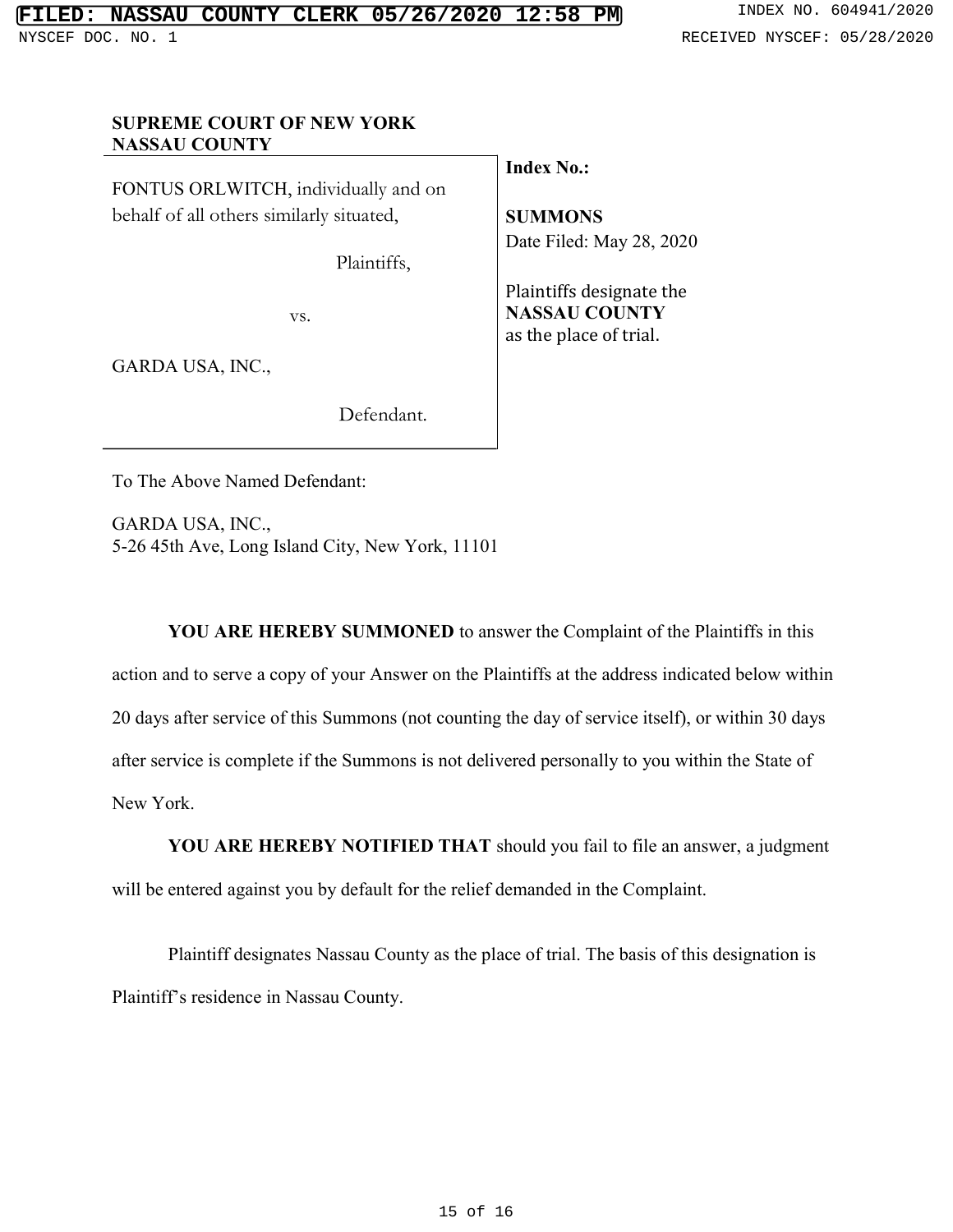# SUPREME COURT OF NEW YORK NASSAU COUNTY FONTUS ORLWITCH, individually and on behalf of all others similarly situated, Plaintiffs, vs. GARDA USA, INC., Defendant. Index No.: **SUMMONS** Date Filed: May 28, 2020 Plaintiffs designate the NASSAU COUNTY as the place of trial.

To The Above Named Defendant:

GARDA USA, INC., 5-26 45th Ave, Long Island City, New York, 11101

YOU ARE HEREBY SUMMONED to answer the Complaint of the Plaintiffs in this action and to serve a copy of your Answer on the Plaintiffs at the address indicated below within 20 days after service of this Summons (not counting the day of service itself), or within 30 days after service is complete if the Summons is not delivered personally to you within the State of New York.

YOU ARE HEREBY NOTIFIED THAT should you fail to file an answer, a judgment will be entered against you by default for the relief demanded in the Complaint.

 Plaintiff designates Nassau County as the place of trial. The basis of this designation is Plaintiff's residence in Nassau County.